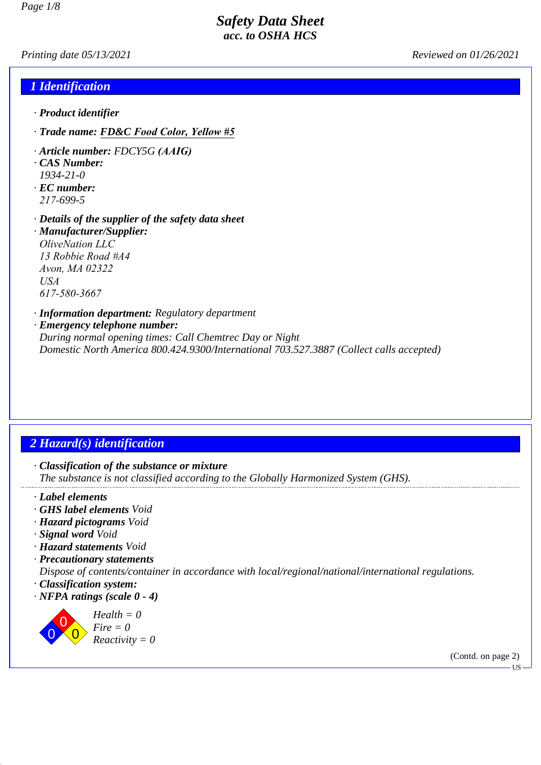*Printing date 05/13/2021 Reviewed on 01/26/2021*

## *1 Identification*

- *· Product identifier*
- *· Trade name: FD&C Food Color, Yellow #5*
- *· Article number: FDCY5G (AAIG)*
- *· CAS Number: 1934-21-0 · EC number:*
- *217-699-5*
- *· Details of the supplier of the safety data sheet · Manufacturer/Supplier: OliveNation LLC 13 Robbie Road #A4 Avon, MA 02322 USA 617-580-3667*

*· Information department: Regulatory department · Emergency telephone number: During normal opening times: Call Chemtrec Day or Night Domestic North America 800.424.9300/International 703.527.3887 (Collect calls accepted)*

# *2 Hazard(s) identification*

- *· Classification of the substance or mixture The substance is not classified according to the Globally Harmonized System (GHS).*
- *· Label elements*
- *· GHS label elements Void*
- *· Hazard pictograms Void*
- *· Signal word Void*
- *· Hazard statements Void*
- *· Precautionary statements*
- *Dispose of contents/container in accordance with local/regional/national/international regulations.*
- *· Classification system:*
- *· NFPA ratings (scale 0 4)*



*Health = 0 Fire = 0 Reactivity = 0*

(Contd. on page 2)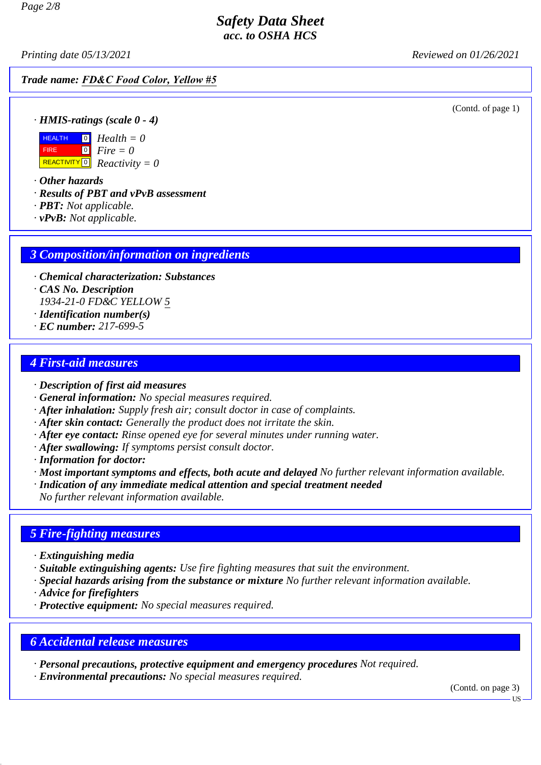*Printing date 05/13/2021 Reviewed on 01/26/2021*

#### *Trade name: FD&C Food Color, Yellow #5*

(Contd. of page 1)

*· HMIS-ratings (scale 0 - 4)*



 REACTIVITY 0 *Reactivity = 0 Fire = 0*

*· Other hazards*

- *· Results of PBT and vPvB assessment*
- *· PBT: Not applicable.*
- *· vPvB: Not applicable.*

#### *3 Composition/information on ingredients*

- *· Chemical characterization: Substances*
- *· CAS No. Description*

*1934-21-0 FD&C YELLOW 5*

- *· Identification number(s)*
- *· EC number: 217-699-5*

#### *4 First-aid measures*

- *· Description of first aid measures*
- *· General information: No special measures required.*
- *· After inhalation: Supply fresh air; consult doctor in case of complaints.*
- *· After skin contact: Generally the product does not irritate the skin.*
- *· After eye contact: Rinse opened eye for several minutes under running water.*
- *· After swallowing: If symptoms persist consult doctor.*
- *· Information for doctor:*
- *· Most important symptoms and effects, both acute and delayed No further relevant information available.*
- *· Indication of any immediate medical attention and special treatment needed*

*No further relevant information available.*

#### *5 Fire-fighting measures*

- *· Extinguishing media*
- *· Suitable extinguishing agents: Use fire fighting measures that suit the environment.*
- *· Special hazards arising from the substance or mixture No further relevant information available.*
- *· Advice for firefighters*
- *· Protective equipment: No special measures required.*

# *6 Accidental release measures*

*· Personal precautions, protective equipment and emergency procedures Not required.*

*· Environmental precautions: No special measures required.*

(Contd. on page 3)

**US**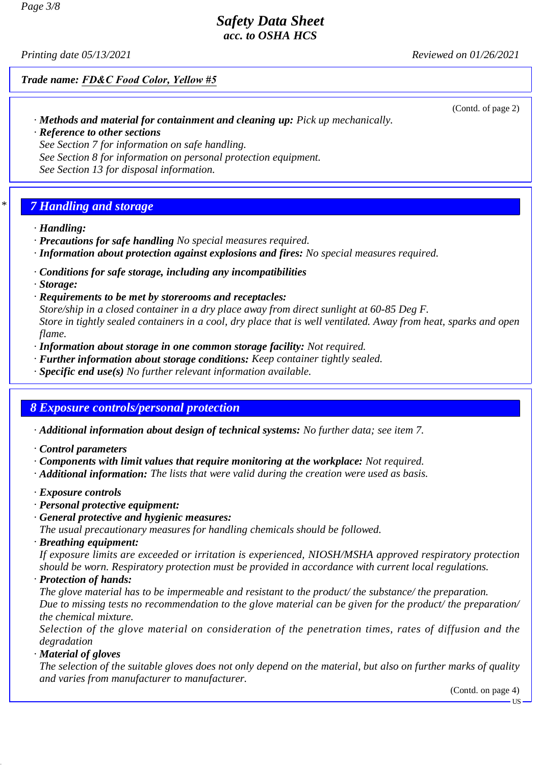*Printing date 05/13/2021 Reviewed on 01/26/2021*

*Trade name: FD&C Food Color, Yellow #5*

*· Methods and material for containment and cleaning up: Pick up mechanically.*

(Contd. of page 2)

*· Reference to other sections See Section 7 for information on safe handling. See Section 8 for information on personal protection equipment. See Section 13 for disposal information.*

# *\* 7 Handling and storage*

- *· Handling:*
- *· Precautions for safe handling No special measures required.*
- *· Information about protection against explosions and fires: No special measures required.*
- *· Conditions for safe storage, including any incompatibilities*
- *· Storage:*
- *· Requirements to be met by storerooms and receptacles:*

*Store/ship in a closed container in a dry place away from direct sunlight at 60-85 Deg F. Store in tightly sealed containers in a cool, dry place that is well ventilated. Away from heat, sparks and open flame.*

- *· Information about storage in one common storage facility: Not required.*
- *· Further information about storage conditions: Keep container tightly sealed.*
- *· Specific end use(s) No further relevant information available.*

# *8 Exposure controls/personal protection*

- *· Additional information about design of technical systems: No further data; see item 7.*
- *· Control parameters*
- *· Components with limit values that require monitoring at the workplace: Not required.*
- *· Additional information: The lists that were valid during the creation were used as basis.*
- *· Exposure controls*
- *· Personal protective equipment:*
- *· General protective and hygienic measures:*

*The usual precautionary measures for handling chemicals should be followed.*

*· Breathing equipment:*

*If exposure limits are exceeded or irritation is experienced, NIOSH/MSHA approved respiratory protection should be worn. Respiratory protection must be provided in accordance with current local regulations.*

*· Protection of hands:*

*The glove material has to be impermeable and resistant to the product/ the substance/ the preparation. Due to missing tests no recommendation to the glove material can be given for the product/ the preparation/ the chemical mixture.*

*Selection of the glove material on consideration of the penetration times, rates of diffusion and the degradation*

*· Material of gloves*

*The selection of the suitable gloves does not only depend on the material, but also on further marks of quality and varies from manufacturer to manufacturer.*

(Contd. on page 4)

US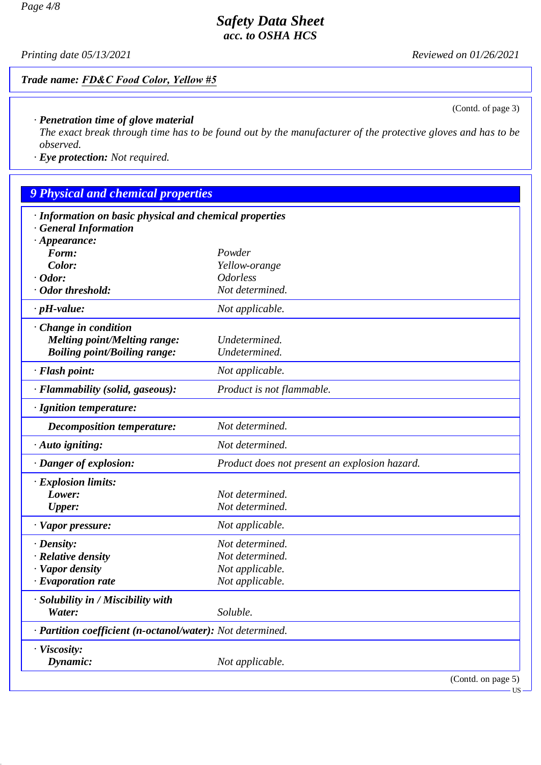*Printing date 05/13/2021 Reviewed on 01/26/2021*

# *Trade name: FD&C Food Color, Yellow #5*

(Contd. of page 3)

## *· Penetration time of glove material*

*The exact break through time has to be found out by the manufacturer of the protective gloves and has to be observed.*

*· Eye protection: Not required.*

| <b>9 Physical and chemical properties</b>                  |                                               |  |  |
|------------------------------------------------------------|-----------------------------------------------|--|--|
| · Information on basic physical and chemical properties    |                                               |  |  |
| · General Information                                      |                                               |  |  |
| $\cdot$ Appearance:                                        |                                               |  |  |
| Form:                                                      | Powder                                        |  |  |
| Color:                                                     | Yellow-orange                                 |  |  |
| $\cdot$ Odor:                                              | <b>Odorless</b>                               |  |  |
| · Odor threshold:                                          | Not determined.                               |  |  |
| $\cdot$ pH-value:                                          | Not applicable.                               |  |  |
| · Change in condition                                      |                                               |  |  |
| <b>Melting point/Melting range:</b>                        | Undetermined.                                 |  |  |
| <b>Boiling point/Boiling range:</b>                        | Undetermined.                                 |  |  |
| · Flash point:                                             | Not applicable.                               |  |  |
| · Flammability (solid, gaseous):                           | Product is not flammable.                     |  |  |
| · Ignition temperature:                                    |                                               |  |  |
| Decomposition temperature:                                 | Not determined.                               |  |  |
| $\cdot$ Auto igniting:                                     | Not determined.                               |  |  |
| · Danger of explosion:                                     | Product does not present an explosion hazard. |  |  |
| $\cdot$ Explosion limits:                                  |                                               |  |  |
| Lower:                                                     | Not determined.                               |  |  |
| <b>Upper:</b>                                              | Not determined.                               |  |  |
| · Vapor pressure:                                          | Not applicable.                               |  |  |
| $\cdot$ Density:                                           | Not determined.                               |  |  |
| · Relative density                                         | Not determined.                               |  |  |
| · Vapor density                                            | Not applicable.                               |  |  |
| $\cdot$ Evaporation rate                                   | Not applicable.                               |  |  |
| · Solubility in / Miscibility with                         |                                               |  |  |
| Water:                                                     | Soluble.                                      |  |  |
| · Partition coefficient (n-octanol/water): Not determined. |                                               |  |  |
| · Viscosity:                                               |                                               |  |  |
| Dynamic:                                                   | Not applicable.                               |  |  |
|                                                            | (Contd. on page 5)<br>$US -$                  |  |  |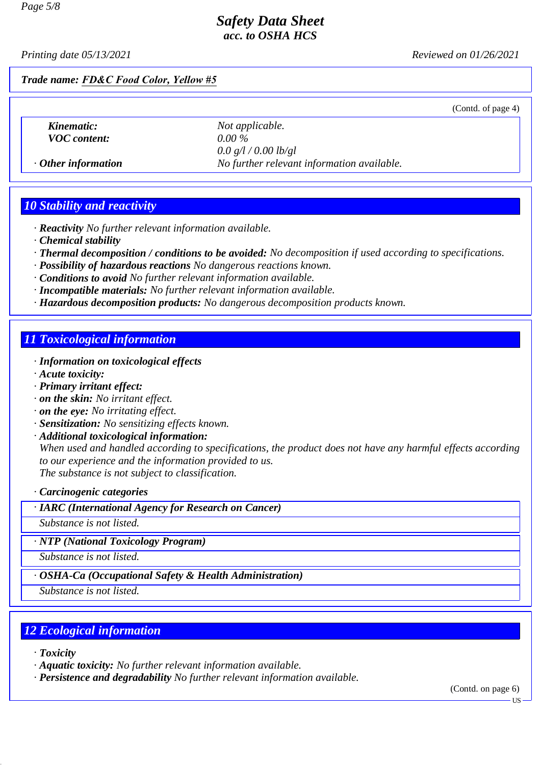*Printing date 05/13/2021 Reviewed on 01/26/2021*

#### *Trade name: FD&C Food Color, Yellow #5*

|                           |                                            | (Contd. of page 4) |
|---------------------------|--------------------------------------------|--------------------|
| Kinematic:                | Not applicable.                            |                    |
| <b>VOC</b> content:       | $0.00\%$                                   |                    |
|                           | 0.0 g/l / 0.00 lb/gl                       |                    |
| $\cdot$ Other information | No further relevant information available. |                    |
|                           |                                            |                    |

#### *10 Stability and reactivity*

- *· Reactivity No further relevant information available.*
- *· Chemical stability*
- *· Thermal decomposition / conditions to be avoided: No decomposition if used according to specifications.*
- *· Possibility of hazardous reactions No dangerous reactions known.*
- *· Conditions to avoid No further relevant information available.*
- *· Incompatible materials: No further relevant information available.*
- *· Hazardous decomposition products: No dangerous decomposition products known.*

## *11 Toxicological information*

- *· Information on toxicological effects*
- *· Acute toxicity:*
- *· Primary irritant effect:*
- *· on the skin: No irritant effect.*
- *· on the eye: No irritating effect.*
- *· Sensitization: No sensitizing effects known.*
- *· Additional toxicological information:*

*When used and handled according to specifications, the product does not have any harmful effects according to our experience and the information provided to us. The substance is not subject to classification.*

*· Carcinogenic categories*

*· IARC (International Agency for Research on Cancer)*

*Substance is not listed.*

*· NTP (National Toxicology Program)*

*Substance is not listed.*

*· OSHA-Ca (Occupational Safety & Health Administration)*

*Substance is not listed.*

# *12 Ecological information*

*· Toxicity*

- *· Aquatic toxicity: No further relevant information available.*
- *· Persistence and degradability No further relevant information available.*

(Contd. on page 6)

·HS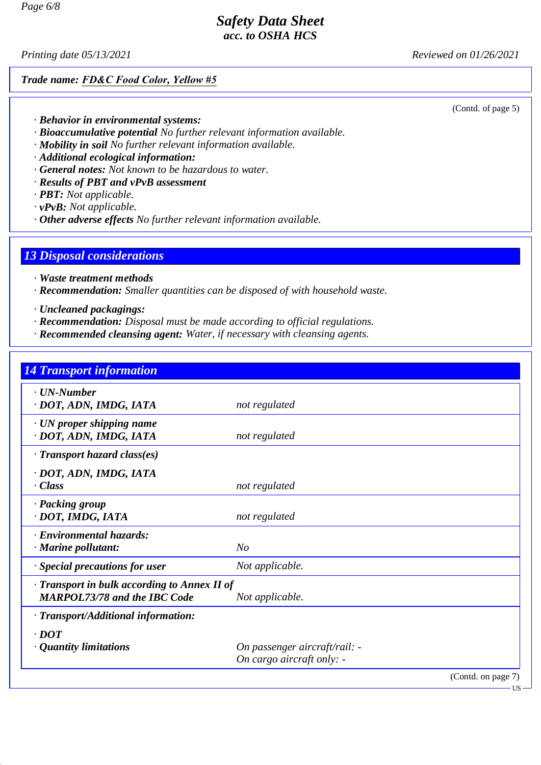*Printing date 05/13/2021 Reviewed on 01/26/2021*

#### *Trade name: FD&C Food Color, Yellow #5*

(Contd. of page 5)

- *· Behavior in environmental systems:*
- *· Bioaccumulative potential No further relevant information available.*
- *· Mobility in soil No further relevant information available.*
- *· Additional ecological information:*
- *· General notes: Not known to be hazardous to water.*
- *· Results of PBT and vPvB assessment*
- *· PBT: Not applicable.*
- *· vPvB: Not applicable.*
- *· Other adverse effects No further relevant information available.*

#### *13 Disposal considerations*

- *· Waste treatment methods*
- *· Recommendation: Smaller quantities can be disposed of with household waste.*
- *· Uncleaned packagings:*
- *· Recommendation: Disposal must be made according to official regulations.*
- *· Recommended cleansing agent: Water, if necessary with cleansing agents.*

# *14 Transport information · UN-Number · DOT, ADN, IMDG, IATA not regulated · UN proper shipping name · DOT, ADN, IMDG, IATA not regulated · Transport hazard class(es) · DOT, ADN, IMDG, IATA · Class not regulated · Packing group · DOT, IMDG, IATA not regulated · Environmental hazards: · Marine pollutant: No · Special precautions for user Not applicable. · Transport in bulk according to Annex II of MARPOL73/78 and the IBC Code Not applicable. · Transport/Additional information: · DOT · Quantity limitations On passenger aircraft/rail: - On cargo aircraft only: -*

(Contd. on page 7)

US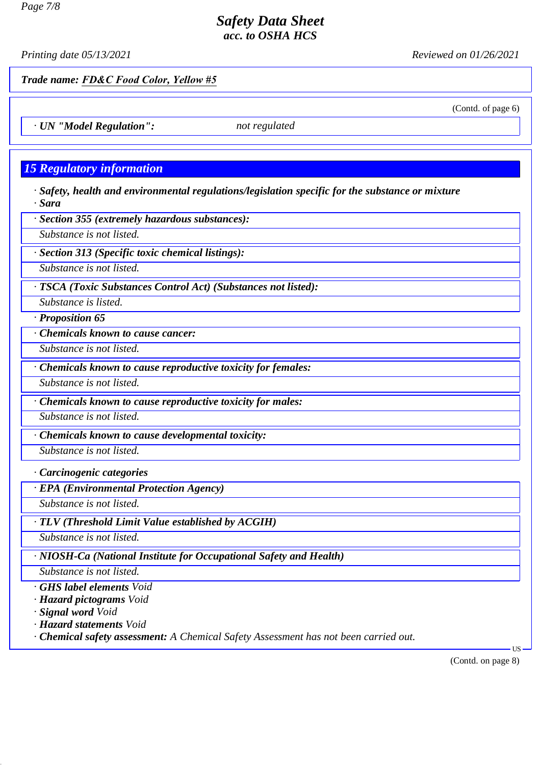*Printing date 05/13/2021 Reviewed on 01/26/2021*

(Contd. of page 6)

*Trade name: FD&C Food Color, Yellow #5*

*· UN "Model Regulation": not regulated*

# *15 Regulatory information*

*· Safety, health and environmental regulations/legislation specific for the substance or mixture · Sara*

*· Section 355 (extremely hazardous substances):*

*Substance is not listed.*

*· Section 313 (Specific toxic chemical listings):*

*Substance is not listed.*

*· TSCA (Toxic Substances Control Act) (Substances not listed):*

*Substance is listed.*

*· Proposition 65*

*· Chemicals known to cause cancer:*

*Substance is not listed.*

*· Chemicals known to cause reproductive toxicity for females:*

*Substance is not listed.*

*· Chemicals known to cause reproductive toxicity for males:*

*Substance is not listed.*

*· Chemicals known to cause developmental toxicity:*

*Substance is not listed.*

*· Carcinogenic categories*

*· EPA (Environmental Protection Agency)*

*Substance is not listed.*

*· TLV (Threshold Limit Value established by ACGIH)*

*Substance is not listed.*

*· NIOSH-Ca (National Institute for Occupational Safety and Health)*

*Substance is not listed.*

*· GHS label elements Void*

*· Hazard pictograms Void*

*· Signal word Void*

*· Hazard statements Void*

*· Chemical safety assessment: A Chemical Safety Assessment has not been carried out.*

(Contd. on page 8)

US